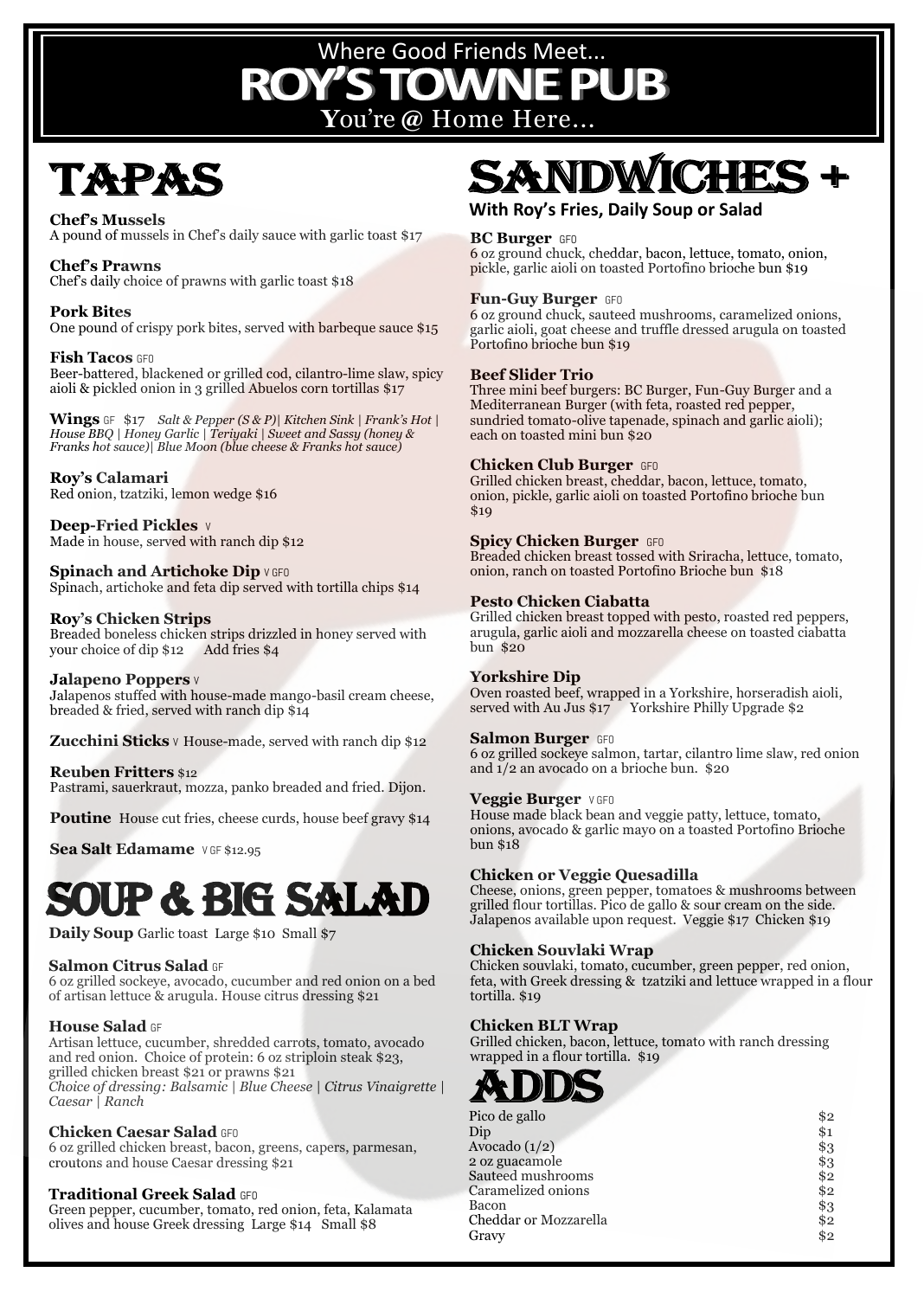## **Y**ou're **@** Home Here... Where Good Friends Meet...

## TAPAS

**Chef's Mussels**  A pound of mussels in Chef's daily sauce with garlic toast \$17

**Chef's Prawns** Chef's daily choice of prawns with garlic toast \$18

**Pork Bites**  One pound of crispy pork bites, served with barbeque sauce \$15

**Fish Tacos** GFO Beer-battered, blackened or grilled cod, cilantro-lime slaw, spicy aioli & pickled onion in 3 grilled Abuelos corn tortillas \$17

**Wings** GF\$17 *Salt & Pepper (S & P)| Kitchen Sink | Frank's Hot | House BBQ | Honey Garlic | Teriyaki | Sweet and Sassy (honey & Franks hot sauce)| Blue Moon (blue cheese & Franks hot sauce)* 

#### **Roy's Calamari**

Red onion, tzatziki, lemon wedge \$16

**Deep-Fried Pickles** V Made in house, served with ranch dip \$12

**Spinach and Artichoke Dip V GFO** Spinach, artichoke and feta dip served with tortilla chips \$14

#### **Roy's Chicken Strips**

Breaded boneless chicken strips drizzled in honey served with your choice of dip \$12 Add fries \$4

#### **Jalapeno Poppers** V

Jalapenos stuffed with house-made mango-basil cream cheese, breaded & fried, served with ranch dip \$14

**Zucchini Sticks** v House-made, served with ranch dip \$12

#### **Reuben Fritters** \$12

Pastrami, sauerkraut, mozza, panko breaded and fried. Dijon.

**Poutine** House cut fries, cheese curds, house beef gravy \$14

**Sea Salt Edamame** VGF \$12.95

## Soup & BIG SALAD

**Daily Soup** Garlic toast Large \$10 Small \$7

#### **Salmon Citrus Salad** GF

6 oz grilled sockeye, avocado, cucumber and red onion on a bed of artisan lettuce & arugula. House citrus dressing \$21

#### **House Salad** GF

Artisan lettuce, cucumber, shredded carrots, tomato, avocado and red onion. Choice of protein: 6 oz striploin steak \$23, grilled chicken breast \$21 or prawns \$21 *Choice of dressing: Balsamic | Blue Cheese | Citrus Vinaigrette | Caesar | Ranch*

#### **Chicken Caesar Salad** GFO

6 oz grilled chicken breast, bacon, greens, capers, parmesan, croutons and house Caesar dressing \$21

#### **Traditional Greek Salad** GFO

Green pepper, cucumber, tomato, red onion, feta, Kalamata olives and house Greek dressing Large \$14 Small \$8

## **SANDW**

#### **With Roy's Fries, Daily Soup or Salad**

#### **BC Burger** GFO

6 oz ground chuck, cheddar, bacon, lettuce, tomato, onion, pickle, garlic aioli on toasted Portofino brioche bun \$19

#### **Fun-Guy Burger** GFO

6 oz ground chuck, sauteed mushrooms, caramelized onions, garlic aioli, goat cheese and truffle dressed arugula on toasted Portofino brioche bun \$19

#### **Beef Slider Trio**

Three mini beef burgers: BC Burger, Fun-Guy Burger and a Mediterranean Burger (with feta, roasted red pepper, sundried tomato-olive tapenade, spinach and garlic aioli); each on toasted mini bun \$20

#### **Chicken Club Burger** GFO

Grilled chicken breast, cheddar, bacon, lettuce, tomato, onion, pickle, garlic aioli on toasted Portofino brioche bun \$19

#### **Spicy Chicken Burger GFO**

Breaded chicken breast tossed with Sriracha, lettuce, tomato, onion, ranch on toasted Portofino Brioche bun \$18

#### **Pesto Chicken Ciabatta**

Grilled chicken breast topped with pesto, roasted red peppers, arugula, garlic aioli and mozzarella cheese on toasted ciabatta bun \$20

#### **Yorkshire Dip**

Oven roasted beef, wrapped in a Yorkshire, horseradish aioli, served with Au Jus \$17 Yorkshire Philly Upgrade \$2

#### **Salmon Burger** GFO

6 oz grilled sockeye salmon, tartar, cilantro lime slaw, red onion and 1/2 an avocado on a brioche bun. \$20

#### **Veggie Burger** V GFO

House made black bean and veggie patty, lettuce, tomato, onions, avocado & garlic mayo on a toasted Portofino Brioche bun \$18

#### **Chicken or Veggie Quesadilla**

Cheese, onions, green pepper, tomatoes & mushrooms between grilled flour tortillas. Pico de gallo & sour cream on the side. Jalapenos available upon request. Veggie \$17 Chicken \$19

#### **Chicken Souvlaki Wrap**

Chicken souvlaki, tomato, cucumber, green pepper, red onion, feta, with Greek dressing & tzatziki and lettuce wrapped in a flour tortilla. \$19

#### **Chicken BLT Wrap**

Grilled chicken, bacon, lettuce, tomato with ranch dressing wrapped in a flour tortilla. \$19



| Pico de gallo         | \$2 |
|-----------------------|-----|
| Dip                   | \$1 |
| Avocado (1/2)         | \$3 |
| 2 oz guacamole        | \$3 |
| Sauteed mushrooms     | \$2 |
| Caramelized onions    | \$2 |
| Bacon                 | \$3 |
| Cheddar or Mozzarella | \$2 |
| Gravy                 | \$2 |
|                       |     |